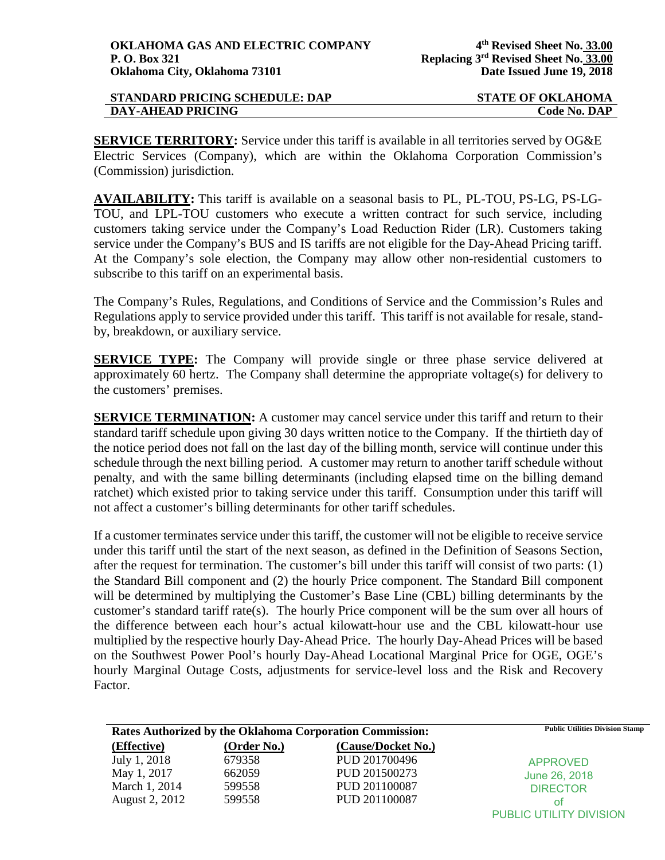| <b>STANDARD PRICING SCHEDULE: DAP</b> | <b>STATE OF OKLAHOMA</b> |
|---------------------------------------|--------------------------|
| DAY-AHEAD PRICING                     | Code No. DAP             |

**SERVICE TERRITORY:** Service under this tariff is available in all territories served by OG&E Electric Services (Company), which are within the Oklahoma Corporation Commission's (Commission) jurisdiction.

**AVAILABILITY:** This tariff is available on a seasonal basis to PL, PL-TOU, PS-LG, PS-LG-TOU, and LPL-TOU customers who execute a written contract for such service, including customers taking service under the Company's Load Reduction Rider (LR). Customers taking service under the Company's BUS and IS tariffs are not eligible for the Day-Ahead Pricing tariff. At the Company's sole election, the Company may allow other non-residential customers to subscribe to this tariff on an experimental basis.

The Company's Rules, Regulations, and Conditions of Service and the Commission's Rules and Regulations apply to service provided under this tariff. This tariff is not available for resale, standby, breakdown, or auxiliary service.

**SERVICE TYPE:** The Company will provide single or three phase service delivered at approximately 60 hertz. The Company shall determine the appropriate voltage(s) for delivery to the customers' premises.

**SERVICE TERMINATION:** A customer may cancel service under this tariff and return to their standard tariff schedule upon giving 30 days written notice to the Company. If the thirtieth day of the notice period does not fall on the last day of the billing month, service will continue under this schedule through the next billing period. A customer may return to another tariff schedule without penalty, and with the same billing determinants (including elapsed time on the billing demand ratchet) which existed prior to taking service under this tariff. Consumption under this tariff will not affect a customer's billing determinants for other tariff schedules.

If a customer terminates service under this tariff, the customer will not be eligible to receive service under this tariff until the start of the next season, as defined in the Definition of Seasons Section, after the request for termination. The customer's bill under this tariff will consist of two parts: (1) the Standard Bill component and (2) the hourly Price component. The Standard Bill component will be determined by multiplying the Customer's Base Line (CBL) billing determinants by the customer's standard tariff rate(s). The hourly Price component will be the sum over all hours of the difference between each hour's actual kilowatt-hour use and the CBL kilowatt-hour use multiplied by the respective hourly Day-Ahead Price. The hourly Day-Ahead Prices will be based on the Southwest Power Pool's hourly Day-Ahead Locational Marginal Price for OGE, OGE's hourly Marginal Outage Costs, adjustments for service-level loss and the Risk and Recovery Factor.

| <b>Rates Authorized by the Oklahoma Corporation Commission:</b> |             | <b>Public Utilities Division Stamp</b> |                                |
|-----------------------------------------------------------------|-------------|----------------------------------------|--------------------------------|
| (Effective)                                                     | (Order No.) | (Cause/Docket No.)                     |                                |
| July 1, 2018                                                    | 679358      | PUD 201700496                          | <b>APPROVED</b>                |
| May 1, 2017                                                     | 662059      | PUD 201500273                          | June 26, 2018                  |
| March 1, 2014                                                   | 599558      | PUD 201100087                          | <b>DIRECTOR</b>                |
| August 2, 2012                                                  | 599558      | PUD 201100087                          | οt                             |
|                                                                 |             |                                        | <b>PUBLIC UTILITY DIVISION</b> |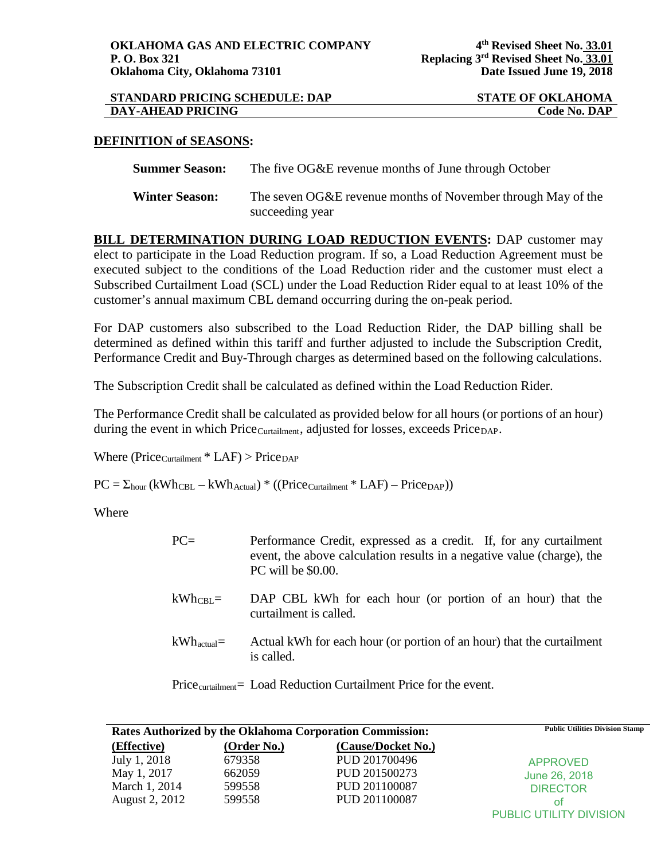| <b>STANDARD PRICING SCHEDULE: DAP</b> | <b>STATE OF OKLAHOMA</b> |
|---------------------------------------|--------------------------|
| <b>DAY-AHEAD PRICING</b>              | <b>Code No. DAP</b>      |

## **DEFINITION of SEASONS:**

**Summer Season:** The five OG&E revenue months of June through October

**Winter Season:** The seven OG&E revenue months of November through May of the succeeding year

**BILL DETERMINATION DURING LOAD REDUCTION EVENTS:** DAP customer may elect to participate in the Load Reduction program. If so, a Load Reduction Agreement must be executed subject to the conditions of the Load Reduction rider and the customer must elect a Subscribed Curtailment Load (SCL) under the Load Reduction Rider equal to at least 10% of the customer's annual maximum CBL demand occurring during the on-peak period.

For DAP customers also subscribed to the Load Reduction Rider, the DAP billing shall be determined as defined within this tariff and further adjusted to include the Subscription Credit, Performance Credit and Buy-Through charges as determined based on the following calculations.

The Subscription Credit shall be calculated as defined within the Load Reduction Rider.

The Performance Credit shall be calculated as provided below for all hours (or portions of an hour) during the event in which Price<sub>Curtailment</sub>, adjusted for losses, exceeds Price<sub>DAP</sub>.

Where ( $Price_{\text{Cuttailment}} * LAP$ ) >  $Price_{\text{DAP}}$ 

 $PC = \Sigma_{hour} (kWh_{CBL} - kWh_{Actual}) * ((Price_{Curtailment} * LAP) - Price_{DAP}))$ 

Where

| $PC=$               | Performance Credit, expressed as a credit. If, for any curtailment<br>event, the above calculation results in a negative value (charge), the<br>PC will be \$0.00. |
|---------------------|--------------------------------------------------------------------------------------------------------------------------------------------------------------------|
| $kWh_{\text{CBL}}=$ | DAP CBL kWh for each hour (or portion of an hour) that the<br>curtailment is called.                                                                               |
| $kWh_{actual}$      | Actual kWh for each hour (or portion of an hour) that the curtailment<br>is called.                                                                                |

Price<sub>curtailment</sub>= Load Reduction Curtailment Price for the event.

| <b>Rates Authorized by the Oklahoma Corporation Commission:</b> |             | <b>Public Utilities Division Stamp</b> |                                |
|-----------------------------------------------------------------|-------------|----------------------------------------|--------------------------------|
| (Effective)                                                     | (Order No.) | (Cause/Docket No.)                     |                                |
| July 1, 2018                                                    | 679358      | PUD 201700496                          | <b>APPROVED</b>                |
| May 1, 2017                                                     | 662059      | PUD 201500273                          | June 26, 2018                  |
| March 1, 2014                                                   | 599558      | PUD 201100087                          | <b>DIRECTOR</b>                |
| August 2, 2012                                                  | 599558      | PUD 201100087                          | οt                             |
|                                                                 |             |                                        | <b>PUBLIC UTILITY DIVISION</b> |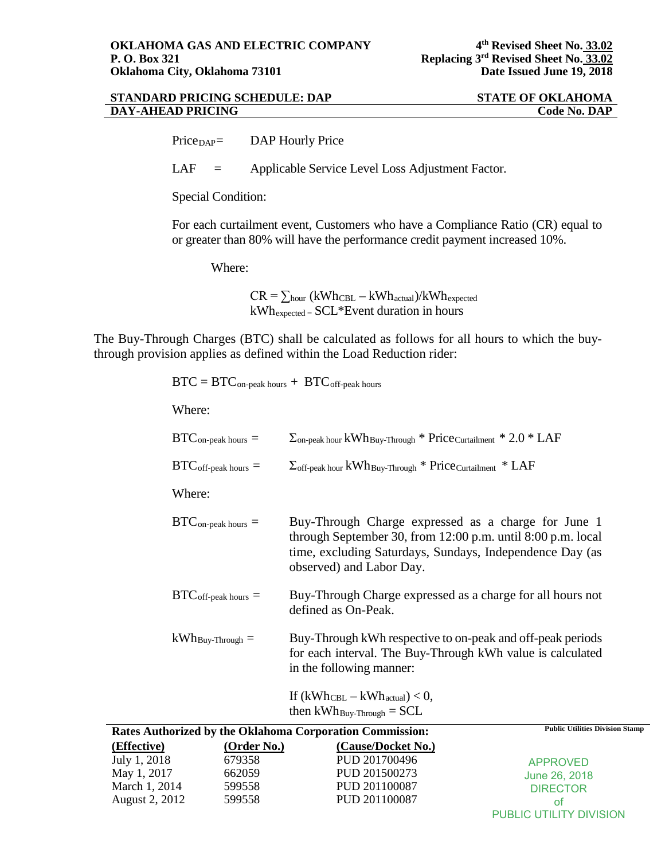| <b>STANDARD PRICING SCHEDULE: DAP</b> | <b>STATE OF OKLAHOMA</b> |
|---------------------------------------|--------------------------|
| DAY-AHEAD PRICING                     | Code No. DAP             |

Price<sub>DAP</sub>= DAP Hourly Price

LAF = Applicable Service Level Loss Adjustment Factor.

Special Condition:

For each curtailment event, Customers who have a Compliance Ratio (CR) equal to or greater than 80% will have the performance credit payment increased 10%.

Where:

 $CR = \sum_{hour} (kWh_{CBL} - kWh_{actual})/kWh_{expected}$ kWhexpected = SCL\*Event duration in hours

The Buy-Through Charges (BTC) shall be calculated as follows for all hours to which the buythrough provision applies as defined within the Load Reduction rider:

 $BTC = BTC_{on-peak \; hours} + BTC_{off-peak \; hours}$ 

Where:

|                                                                                                                              | $BTC_{\text{on-peak hours}} =$         | $\Sigma$ <sub>on-peak</sub> hour kWh <sub>Buy-Through</sub> * Price <sub>Curtailment</sub> * 2.0 * LAF                                                                                                     |
|------------------------------------------------------------------------------------------------------------------------------|----------------------------------------|------------------------------------------------------------------------------------------------------------------------------------------------------------------------------------------------------------|
|                                                                                                                              | $\text{BTC}_{\text{off-peak hours}} =$ | $\Sigma_{\text{off-peak hour}}$ kWh Buy-Through * Price Curtailment * LAF                                                                                                                                  |
|                                                                                                                              | Where:                                 |                                                                                                                                                                                                            |
|                                                                                                                              | $BTC_{\text{on-peak hours}} =$         | Buy-Through Charge expressed as a charge for June 1<br>through September 30, from 12:00 p.m. until 8:00 p.m. local<br>time, excluding Saturdays, Sundays, Independence Day (as<br>observed) and Labor Day. |
|                                                                                                                              | $BTC_{off-peak \; hours}$ =            | Buy-Through Charge expressed as a charge for all hours not<br>defined as On-Peak.                                                                                                                          |
|                                                                                                                              | $kWh_{\text{Buy-Throught}} =$          | Buy-Through kWh respective to on-peak and off-peak periods<br>for each interval. The Buy-Through kWh value is calculated<br>in the following manner:                                                       |
|                                                                                                                              |                                        | If $(kWh_{\text{CBL}} - kWh_{\text{actual}}) < 0$ ,<br>then $kWh_{\text{Buy-Through}} = SCL$                                                                                                               |
| $(\mathbf{F} \mathbf{f} \mathbf{f}_{\alpha} \mathbf{f}_{\alpha} \mathbf{f}_{\alpha} \mathbf{f}_{\alpha} \mathbf{f}_{\alpha}$ |                                        | <b>Public Utilities Division Stamp</b><br>Rates Authorized by the Oklahoma Corporation Commission:<br>$(\Omega_{\text{rel}})$ $(\Omega_{\text{rel}})$ $(\Omega_{\text{rel}})$                              |

| (Effective)    | (Order No.) | (Cause/Docket No.) |                                |
|----------------|-------------|--------------------|--------------------------------|
| July 1, 2018   | 679358      | PUD 201700496      | APPROVED                       |
| May 1, 2017    | 662059      | PUD 201500273      | June 26, 2018                  |
| March 1, 2014  | 599558      | PUD 201100087      | <b>DIRECTOR</b>                |
| August 2, 2012 | 599558      | PUD 201100087      | ΩŤ                             |
|                |             |                    | <b>PUBLIC UTILITY DIVISION</b> |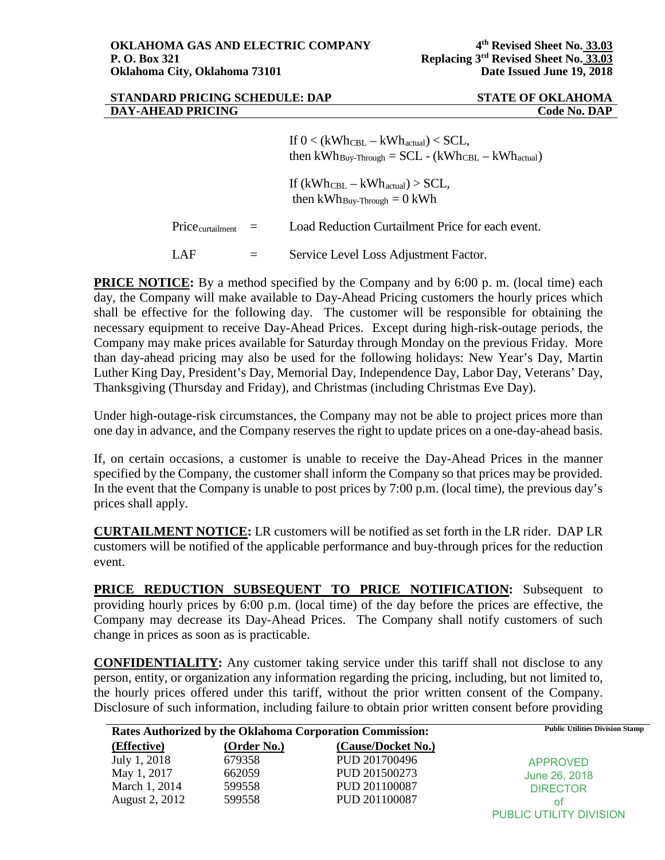| <b>STANDARD PRICING SCHEDULE: DAP</b> |  |
|---------------------------------------|--|
| <b>DAY-AHEAD PRICING</b>              |  |
|                                       |  |

## **STATE OF OKLAHOMA**  $Code No. DAP$

If  $0 < (kWh_{\text{CBL}} - kWh_{\text{actual}}) < \text{SCL}$ , then  $kWh_{Buv-Through} = SCL - (kWh_{CBL} - kWh_{actual})$ If  $(kWh_{\text{CBL}} - kWh_{\text{actual}}) > SCL$ , then  $kWh_{\text{Buv-Through}} = 0$  kWh Price<sub>curtailment</sub> = Load Reduction Curtailment Price for each event. LAF = Service Level Loss Adjustment Factor.

**PRICE NOTICE:** By a method specified by the Company and by 6:00 p.m. (local time) each day, the Company will make available to Day-Ahead Pricing customers the hourly prices which shall be effective for the following day. The customer will be responsible for obtaining the necessary equipment to receive Day-Ahead Prices. Except during high-risk-outage periods, the Company may make prices available for Saturday through Monday on the previous Friday. More than day-ahead pricing may also be used for the following holidays: New Year's Day, Martin Luther King Day, President's Day, Memorial Day, Independence Day, Labor Day, Veterans' Day, Thanksgiving (Thursday and Friday), and Christmas (including Christmas Eve Day).

Under high-outage-risk circumstances, the Company may not be able to project prices more than one day in advance, and the Company reserves the right to update prices on a one-day-ahead basis.

If, on certain occasions, a customer is unable to receive the Day-Ahead Prices in the manner specified by the Company, the customer shall inform the Company so that prices may be provided. In the event that the Company is unable to post prices by 7:00 p.m. (local time), the previous day's prices shall apply.

**CURTAILMENT NOTICE:** LR customers will be notified as set forth in the LR rider. DAP LR customers will be notified of the applicable performance and buy-through prices for the reduction event.

**PRICE REDUCTION SUBSEQUENT TO PRICE NOTIFICATION:** Subsequent to providing hourly prices by 6:00 p.m. (local time) of the day before the prices are effective, the Company may decrease its Day-Ahead Prices. The Company shall notify customers of such change in prices as soon as is practicable.

**CONFIDENTIALITY:** Any customer taking service under this tariff shall not disclose to any person, entity, or organization any information regarding the pricing, including, but not limited to, the hourly prices offered under this tariff, without the prior written consent of the Company. Disclosure of such information, including failure to obtain prior written consent before providing

| Rates Authorized by the Oklahoma Corporation Commission: |             | <b>Public Utilities Division Stamp</b> |                         |
|----------------------------------------------------------|-------------|----------------------------------------|-------------------------|
| (Effective)                                              | (Order No.) | (Cause/Docket No.)                     |                         |
| July 1, 2018                                             | 679358      | PUD 201700496                          | <b>APPROVED</b>         |
| May 1, 2017                                              | 662059      | PUD 201500273                          | June 26, 2018           |
| March 1, 2014                                            | 599558      | PUD 201100087                          | <b>DIRECTOR</b>         |
| August 2, 2012                                           | 599558      | PUD 201100087                          | ot                      |
|                                                          |             |                                        | PUBLIC UTILITY DIVISION |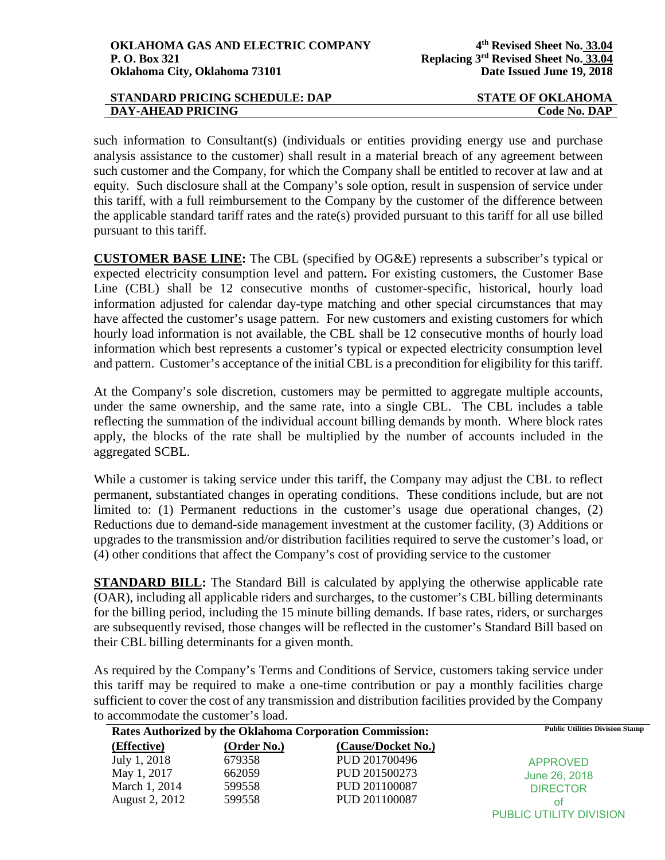| STANDARD PRICING SCHEDULE: DAP | <b>STATE OF OKLAHOMA</b> |
|--------------------------------|--------------------------|
| <b>DAY-AHEAD PRICING</b>       | Code No. DAP             |

such information to Consultant(s) (individuals or entities providing energy use and purchase analysis assistance to the customer) shall result in a material breach of any agreement between such customer and the Company, for which the Company shall be entitled to recover at law and at equity. Such disclosure shall at the Company's sole option, result in suspension of service under this tariff, with a full reimbursement to the Company by the customer of the difference between the applicable standard tariff rates and the rate(s) provided pursuant to this tariff for all use billed pursuant to this tariff.

**CUSTOMER BASE LINE:** The CBL (specified by OG&E) represents a subscriber's typical or expected electricity consumption level and pattern**.** For existing customers, the Customer Base Line (CBL) shall be 12 consecutive months of customer-specific, historical, hourly load information adjusted for calendar day-type matching and other special circumstances that may have affected the customer's usage pattern. For new customers and existing customers for which hourly load information is not available, the CBL shall be 12 consecutive months of hourly load information which best represents a customer's typical or expected electricity consumption level and pattern. Customer's acceptance of the initial CBL is a precondition for eligibility for this tariff.

At the Company's sole discretion, customers may be permitted to aggregate multiple accounts, under the same ownership, and the same rate, into a single CBL. The CBL includes a table reflecting the summation of the individual account billing demands by month. Where block rates apply, the blocks of the rate shall be multiplied by the number of accounts included in the aggregated SCBL.

While a customer is taking service under this tariff, the Company may adjust the CBL to reflect permanent, substantiated changes in operating conditions. These conditions include, but are not limited to: (1) Permanent reductions in the customer's usage due operational changes, (2) Reductions due to demand-side management investment at the customer facility, (3) Additions or upgrades to the transmission and/or distribution facilities required to serve the customer's load, or (4) other conditions that affect the Company's cost of providing service to the customer

**STANDARD BILL:** The Standard Bill is calculated by applying the otherwise applicable rate (OAR), including all applicable riders and surcharges, to the customer's CBL billing determinants for the billing period, including the 15 minute billing demands. If base rates, riders, or surcharges are subsequently revised, those changes will be reflected in the customer's Standard Bill based on their CBL billing determinants for a given month.

As required by the Company's Terms and Conditions of Service, customers taking service under this tariff may be required to make a one-time contribution or pay a monthly facilities charge sufficient to cover the cost of any transmission and distribution facilities provided by the Company to accommodate the customer's load.

| Rates Authorized by the Oklahoma Corporation Commission: |             | <b>Public Utilities Division Stamp</b> |                         |
|----------------------------------------------------------|-------------|----------------------------------------|-------------------------|
| (Effective)                                              | (Order No.) | (Cause/Docket No.)                     |                         |
| July 1, 2018                                             | 679358      | PUD 201700496                          | <b>APPROVED</b>         |
| May 1, 2017                                              | 662059      | PUD 201500273                          | June 26, 2018           |
| March 1, 2014                                            | 599558      | PUD 201100087                          | <b>DIRECTOR</b>         |
| August 2, 2012                                           | 599558      | PUD 201100087                          | οt                      |
|                                                          |             |                                        | PUBLIC UTILITY DIVISION |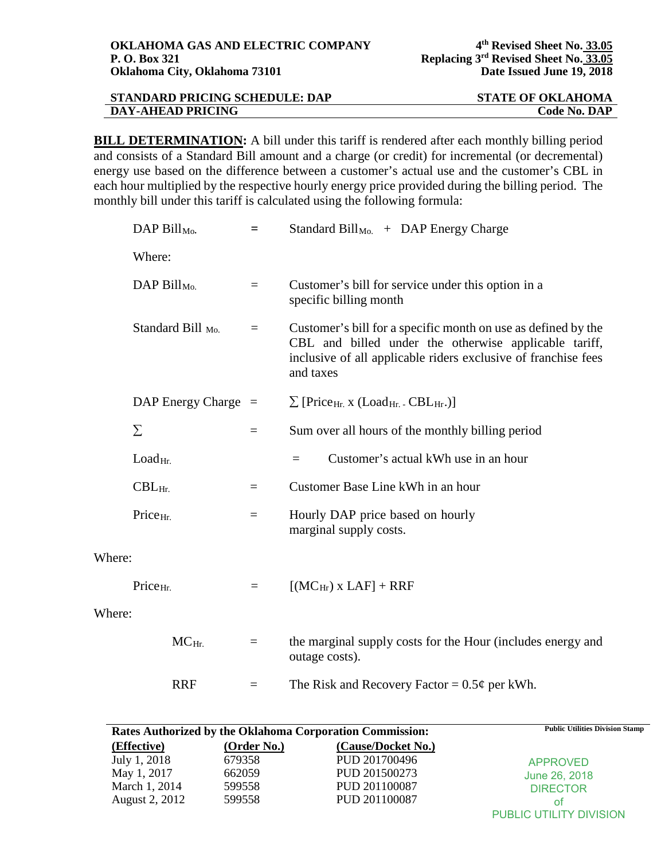| STANDARD PRICING SCHEDULE: DAP | <b>STATE OF OKLAHOMA</b> |
|--------------------------------|--------------------------|
| <b>DAY-AHEAD PRICING</b>       | <b>Code No. DAP</b>      |

**BILL DETERMINATION:** A bill under this tariff is rendered after each monthly billing period and consists of a Standard Bill amount and a charge (or credit) for incremental (or decremental) energy use based on the difference between a customer's actual use and the customer's CBL in each hour multiplied by the respective hourly energy price provided during the billing period. The monthly bill under this tariff is calculated using the following formula:

|        | DAP $Bill_{Mo}$ .                | $=$                     | Standard Bill <sub>Mo.</sub> + DAP Energy Charge                                                                                                                                                      |
|--------|----------------------------------|-------------------------|-------------------------------------------------------------------------------------------------------------------------------------------------------------------------------------------------------|
|        | Where:                           |                         |                                                                                                                                                                                                       |
|        | DAP Bill <sub>Mo.</sub>          | $=$                     | Customer's bill for service under this option in a<br>specific billing month                                                                                                                          |
|        | Standard Bill <sub>Mo.</sub>     | $=$                     | Customer's bill for a specific month on use as defined by the<br>CBL and billed under the otherwise applicable tariff,<br>inclusive of all applicable riders exclusive of franchise fees<br>and taxes |
|        | DAP Energy Charge $=$            |                         | $\sum$ [Price <sub>Hr.</sub> x (Load <sub>Hr.</sub> - CBL <sub>Hr</sub> .)]                                                                                                                           |
|        | Σ                                | $\qquad \qquad =$       | Sum over all hours of the monthly billing period                                                                                                                                                      |
|        | Load <sub>Hi</sub>               |                         | Customer's actual kWh use in an hour<br>$=$                                                                                                                                                           |
|        | $CBL$ <sub>Hr.</sub>             | $\qquad \qquad =\qquad$ | Customer Base Line kWh in an hour                                                                                                                                                                     |
|        | Price <sub>Hr.</sub>             | $=$                     | Hourly DAP price based on hourly<br>marginal supply costs.                                                                                                                                            |
| Where: |                                  |                         |                                                                                                                                                                                                       |
|        | Price <sub>Hr.</sub><br>$\equiv$ |                         | $[(MC_{Hr}) \times LAF] + RRF$                                                                                                                                                                        |
| Where: |                                  |                         |                                                                                                                                                                                                       |
|        | $MCHr$ .                         | $=$                     | the marginal supply costs for the Hour (includes energy and<br>outage costs).                                                                                                                         |
|        | <b>RRF</b>                       | $\equiv$                | The Risk and Recovery Factor = $0.5\phi$ per kWh.                                                                                                                                                     |

|                | <b>Rates Authorized by the Oklahoma Corporation Commission:</b> | <b>Public Utilities Division Stamp</b> |                         |
|----------------|-----------------------------------------------------------------|----------------------------------------|-------------------------|
| (Effective)    | (Order No.)                                                     | (Cause/Docket No.)                     |                         |
| July 1, 2018   | 679358                                                          | PUD 201700496                          | <b>APPROVED</b>         |
| May 1, 2017    | 662059                                                          | PUD 201500273                          | June 26, 2018           |
| March 1, 2014  | 599558                                                          | PUD 201100087                          | <b>DIRECTOR</b>         |
| August 2, 2012 | 599558                                                          | PUD 201100087                          | ΩŤ                      |
|                |                                                                 |                                        | PUBLIC UTILITY DIVISION |